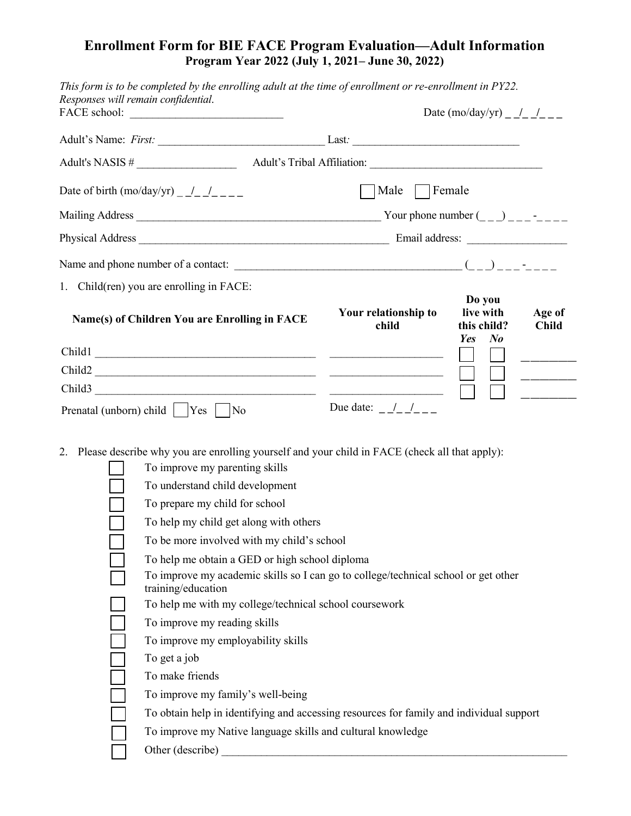## **Enrollment Form for BIE FACE Program Evaluation—Adult Information Program Year 2022 (July 1, 2021– June 30, 2022)**

| This form is to be completed by the enrolling adult at the time of enrollment or re-enrollment in PY22.<br>Responses will remain confidential.                                                                                                                                                                                                                                                                                                                                                                                                                                                                                                                                                                                                                      | Date $(mo/day/yr)$ / /                |                                                                                |  |  |  |
|---------------------------------------------------------------------------------------------------------------------------------------------------------------------------------------------------------------------------------------------------------------------------------------------------------------------------------------------------------------------------------------------------------------------------------------------------------------------------------------------------------------------------------------------------------------------------------------------------------------------------------------------------------------------------------------------------------------------------------------------------------------------|---------------------------------------|--------------------------------------------------------------------------------|--|--|--|
|                                                                                                                                                                                                                                                                                                                                                                                                                                                                                                                                                                                                                                                                                                                                                                     |                                       |                                                                                |  |  |  |
|                                                                                                                                                                                                                                                                                                                                                                                                                                                                                                                                                                                                                                                                                                                                                                     |                                       |                                                                                |  |  |  |
| Date of birth $(mo/day/yr)$ ///                                                                                                                                                                                                                                                                                                                                                                                                                                                                                                                                                                                                                                                                                                                                     | Male $\Box$ Female                    |                                                                                |  |  |  |
|                                                                                                                                                                                                                                                                                                                                                                                                                                                                                                                                                                                                                                                                                                                                                                     |                                       |                                                                                |  |  |  |
|                                                                                                                                                                                                                                                                                                                                                                                                                                                                                                                                                                                                                                                                                                                                                                     |                                       |                                                                                |  |  |  |
|                                                                                                                                                                                                                                                                                                                                                                                                                                                                                                                                                                                                                                                                                                                                                                     |                                       |                                                                                |  |  |  |
|                                                                                                                                                                                                                                                                                                                                                                                                                                                                                                                                                                                                                                                                                                                                                                     |                                       |                                                                                |  |  |  |
| 1. Child(ren) you are enrolling in FACE:<br>Name(s) of Children You are Enrolling in FACE                                                                                                                                                                                                                                                                                                                                                                                                                                                                                                                                                                                                                                                                           | Your relationship to<br>child         | Do you<br>live with<br>Age of<br>this child?<br><b>Child</b><br>$N_{0}$<br>Yes |  |  |  |
|                                                                                                                                                                                                                                                                                                                                                                                                                                                                                                                                                                                                                                                                                                                                                                     |                                       |                                                                                |  |  |  |
| $\text{Child2}$                                                                                                                                                                                                                                                                                                                                                                                                                                                                                                                                                                                                                                                                                                                                                     |                                       |                                                                                |  |  |  |
| Child3                                                                                                                                                                                                                                                                                                                                                                                                                                                                                                                                                                                                                                                                                                                                                              |                                       |                                                                                |  |  |  |
| Prenatal (unborn) child    Yes    No                                                                                                                                                                                                                                                                                                                                                                                                                                                                                                                                                                                                                                                                                                                                | Due date: $\frac{1}{1}$ $\frac{1}{1}$ |                                                                                |  |  |  |
| Please describe why you are enrolling yourself and your child in FACE (check all that apply):<br>2.<br>To improve my parenting skills<br>To understand child development<br>To prepare my child for school<br>To help my child get along with others<br>To be more involved with my child's school<br>To help me obtain a GED or high school diploma<br>To improve my academic skills so I can go to college/technical school or get other<br>training/education<br>To help me with my college/technical school coursework<br>To improve my reading skills<br>To improve my employability skills<br>To get a job<br>To make friends<br>To improve my family's well-being<br>To obtain help in identifying and accessing resources for family and individual support |                                       |                                                                                |  |  |  |
| To improve my Native language skills and cultural knowledge                                                                                                                                                                                                                                                                                                                                                                                                                                                                                                                                                                                                                                                                                                         |                                       |                                                                                |  |  |  |
| Other (describe)                                                                                                                                                                                                                                                                                                                                                                                                                                                                                                                                                                                                                                                                                                                                                    |                                       |                                                                                |  |  |  |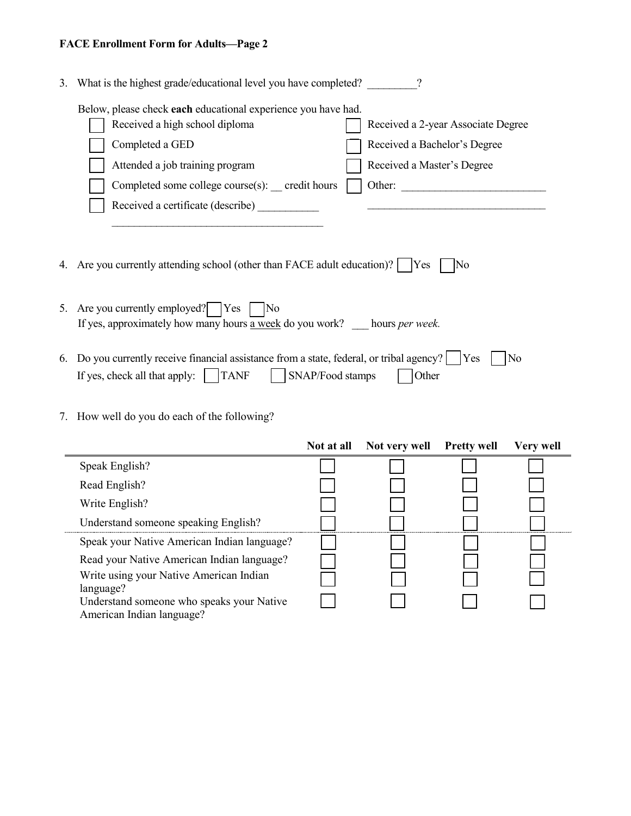## **FACE Enrollment Form for Adults—Page 2**

| 3.                                                                                                    | What is the highest grade/educational level you have completed?                                                                                                                       |  |  |  |  |
|-------------------------------------------------------------------------------------------------------|---------------------------------------------------------------------------------------------------------------------------------------------------------------------------------------|--|--|--|--|
|                                                                                                       | Below, please check each educational experience you have had.                                                                                                                         |  |  |  |  |
|                                                                                                       | Received a high school diploma<br>Received a 2-year Associate Degree                                                                                                                  |  |  |  |  |
|                                                                                                       | Completed a GED<br>Received a Bachelor's Degree                                                                                                                                       |  |  |  |  |
|                                                                                                       | Attended a job training program<br>Received a Master's Degree                                                                                                                         |  |  |  |  |
|                                                                                                       | Completed some college course(s): credit hours<br>Other:                                                                                                                              |  |  |  |  |
|                                                                                                       | Received a certificate (describe)                                                                                                                                                     |  |  |  |  |
|                                                                                                       |                                                                                                                                                                                       |  |  |  |  |
| 4. Are you currently attending school (other than FACE adult education)?   Yes<br>$\overline{\rm No}$ |                                                                                                                                                                                       |  |  |  |  |
|                                                                                                       | 5. Are you currently employed?   Yes<br> No<br>If yes, approximately how many hours a week do you work? hours <i>per week</i> .                                                       |  |  |  |  |
| 6.                                                                                                    | Do you currently receive financial assistance from a state, federal, or tribal agency?<br><b>Yes</b><br>No<br>If yes, check all that apply: $\vert$ TANF<br>SNAP/Food stamps<br>Other |  |  |  |  |

## 7. How well do you do each of the following?

|                                                                                     | Not at all | Not very well | <b>Pretty well</b> | <b>Very well</b> |
|-------------------------------------------------------------------------------------|------------|---------------|--------------------|------------------|
| Speak English?                                                                      |            |               |                    |                  |
| Read English?                                                                       |            |               |                    |                  |
| Write English?                                                                      |            |               |                    |                  |
| Understand someone speaking English?                                                |            |               |                    |                  |
| Speak your Native American Indian language?                                         |            |               |                    |                  |
| Read your Native American Indian language?                                          |            |               |                    |                  |
| Write using your Native American Indian                                             |            |               |                    |                  |
| language?<br>Understand someone who speaks your Native<br>American Indian language? |            |               |                    |                  |